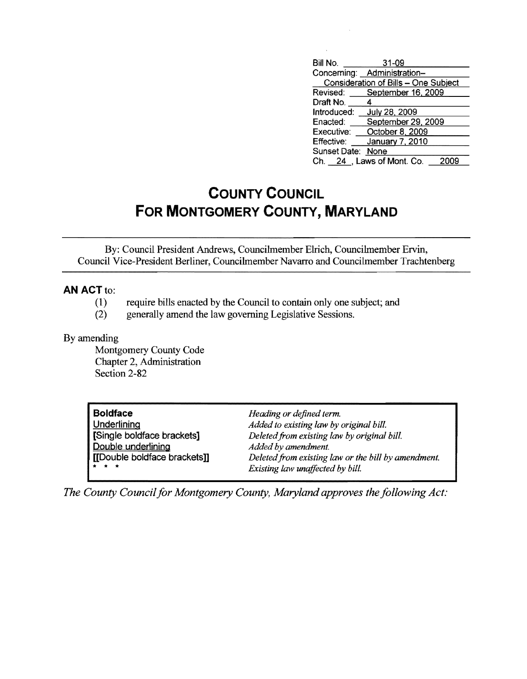| Bill No.                             | 31-09                       |  |  |  |
|--------------------------------------|-----------------------------|--|--|--|
|                                      | Concerning: Administration- |  |  |  |
| Consideration of Bills - One Subject |                             |  |  |  |
|                                      | Revised: September 16, 2009 |  |  |  |
| Draft No.                            | 4                           |  |  |  |
| Introduced:                          | <b>July 28, 2009</b>        |  |  |  |
| Enacted:                             | September 29, 2009          |  |  |  |
| Executive:                           | October 8, 2009             |  |  |  |
| Effective:                           | January 7, 2010             |  |  |  |
| Sunset Date: None                    |                             |  |  |  |
|                                      | Ch. 24 , Laws of Mont. Co.  |  |  |  |

## **COUNTY COUNCIL FOR MONTGOMERY COUNTY, MARYLAND**

By: Council President Andrews, Councilmember EIrich, Councilmember Ervin, Council Vice-President Berliner, Councilmember Navarro and Councilmember Trachtenberg

## **AN ACT to:**

- (1) require bills enacted by the Council to contain only one subject; and
- (2) generally amend the law governing Legislative Sessions.

## By amending

Montgomery County Code Chapter 2, Administration Section 2-82

| <b>Boldface</b><br>Underlining<br>[Single boldface brackets]<br>Double underlining<br>[[Double boldface brackets]]<br>* * * | Heading or defined term.<br>Added to existing law by original bill.<br>Deleted from existing law by original bill.<br>Added by amendment.<br>Deleted from existing law or the bill by amendment. |
|-----------------------------------------------------------------------------------------------------------------------------|--------------------------------------------------------------------------------------------------------------------------------------------------------------------------------------------------|
|                                                                                                                             | Existing law unaffected by bill.                                                                                                                                                                 |

*The County Council for Montgomery County, Maryland approves the following Act:*